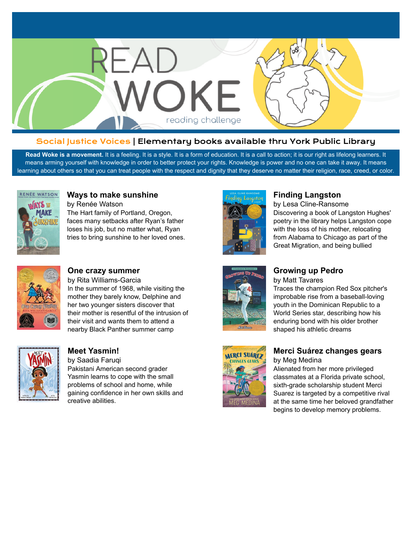

#### Social Justice Voices | Elementary books available thru York Public Library

Read Woke is a movement. It is a feeling. It is a style. It is a form of education. It is a call to action; it is our right as lifelong learners. It means arming yourself with knowledge in order to better protect your rights. Knowledge is power and no one can take it away. It means learning about others so that you can treat people with the respect and dignity that they deserve no matter their religion, race, creed, or color.



#### **[Ways to make sunshine](https://libraryaware.com/28BMTH)**

by Renée Watson The Hart family of Portland, Oregon, faces many setbacks after Ryan's father loses his job, but no matter what, Ryan tries to bring sunshine to her loved ones.



#### **[Finding Langston](https://libraryaware.com/28BMTM)**

by Lesa Cline-Ransome Discovering a book of Langston Hughes' poetry in the library helps Langston cope with the loss of his mother, relocating from Alabama to Chicago as part of the Great Migration, and being bullied



#### **[One crazy summer](https://libraryaware.com/28BMTJ)**

by Rita Williams-Garcia In the summer of 1968, while visiting the mother they barely know, Delphine and her two younger sisters discover that their mother is resentful of the intrusion of their visit and wants them to attend a nearby Black Panther summer camp



### **[Meet Yasmin!](https://libraryaware.com/28BMTK)**

by Saadia Faruqi Pakistani American second grader Yasmin learns to cope with the small problems of school and home, while gaining confidence in her own skills and creative abilities.



# **[Growing up Pedro](https://libraryaware.com/28BMTN)**

by Matt Tavares Traces the champion Red Sox pitcher's

improbable rise from a baseball-loving youth in the Dominican Republic to a World Series star, describing how his enduring bond with his older brother shaped his athletic dreams



#### **[Merci Suárez changes gears](https://libraryaware.com/28BMTP)** by Meg Medina

Alienated from her more privileged classmates at a Florida private school, sixth-grade scholarship student Merci Suarez is targeted by a competitive rival at the same time her beloved grandfather begins to develop memory problems.